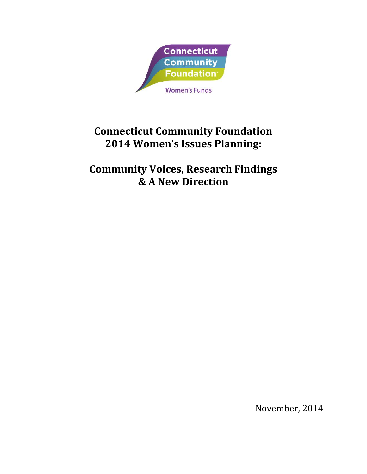

# **Connecticut Community Foundation 2014 Women's Issues Planning:**

**Community Voices, Research Findings & A New Direction**

November, 2014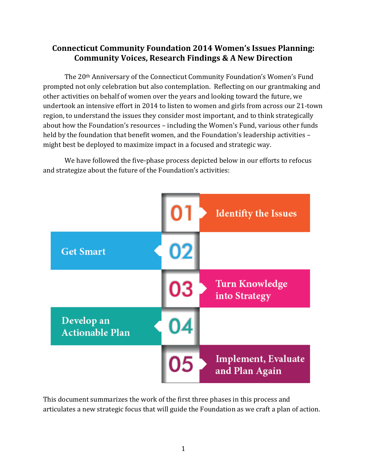# **Connecticut Community Foundation 2014 Women's Issues Planning: Community Voices, Research Findings & A New Direction**

The 20th Anniversary of the Connecticut Community Foundation's Women's Fund prompted not only celebration but also contemplation. Reflecting on our grantmaking and other activities on behalf of women over the years and looking toward the future, we undertook an intensive effort in 2014 to listen to women and girls from across our 21-town region, to understand the issues they consider most important, and to think strategically about how the Foundation's resources – including the Women's Fund, various other funds held by the foundation that benefit women, and the Foundation's leadership activities – might best be deployed to maximize impact in a focused and strategic way.

We have followed the five-phase process depicted below in our efforts to refocus and strategize about the future of the Foundation's activities:



This document summarizes the work of the first three phases in this process and articulates a new strategic focus that will guide the Foundation as we craft a plan of action.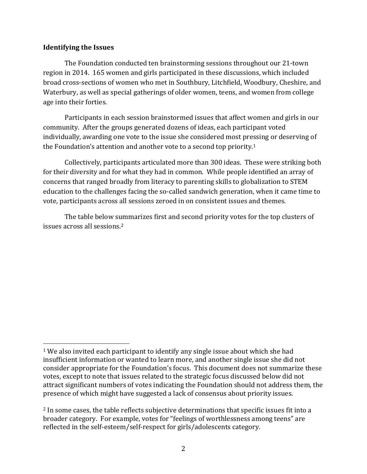#### **Identifying the Issues**

l

The Foundation conducted ten brainstorming sessions throughout our 21-town region in 2014. 165 women and girls participated in these discussions, which included broad cross-sections of women who met in Southbury, Litchfield, Woodbury, Cheshire, and Waterbury, as well as special gatherings of older women, teens, and women from college age into their forties.

Participants in each session brainstormed issues that affect women and girls in our community. After the groups generated dozens of ideas, each participant voted individually, awarding one vote to the issue she considered most pressing or deserving of the Foundation's attention and another vote to a second top priority.<sup>1</sup>

Collectively, participants articulated more than 300 ideas. These were striking both for their diversity and for what they had in common. While people identified an array of concerns that ranged broadly from literacy to parenting skills to globalization to STEM education to the challenges facing the so-called sandwich generation, when it came time to vote, participants across all sessions zeroed in on consistent issues and themes.

The table below summarizes first and second priority votes for the top clusters of issues across all sessions.<sup>2</sup>

<sup>1</sup> We also invited each participant to identify any single issue about which she had insufficient information or wanted to learn more, and another single issue she did not consider appropriate for the Foundation's focus. This document does not summarize these votes, except to note that issues related to the strategic focus discussed below did not attract significant numbers of votes indicating the Foundation should not address them, the presence of which might have suggested a lack of consensus about priority issues.

<sup>&</sup>lt;sup>2</sup> In some cases, the table reflects subjective determinations that specific issues fit into a broader category. For example, votes for "feelings of worthlessness among teens" are reflected in the self-esteem/self-respect for girls/adolescents category.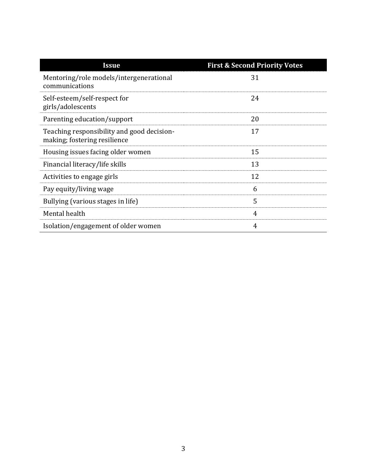| Issue                                                                      | <b>First &amp; Second Priority Votes</b> |
|----------------------------------------------------------------------------|------------------------------------------|
| Mentoring/role models/intergenerational<br>communications                  | 31                                       |
| Self-esteem/self-respect for<br>girls/adolescents                          | 24                                       |
| Parenting education/support                                                | 20                                       |
| Teaching responsibility and good decision-<br>making; fostering resilience | 17                                       |
| Housing issues facing older women                                          | 15                                       |
| Financial literacy/life skills                                             | 13                                       |
| Activities to engage girls                                                 | 12                                       |
| Pay equity/living wage                                                     | 6                                        |
| Bullying (various stages in life)                                          | 5                                        |
| Mental health                                                              | 4                                        |
| Isolation/engagement of older women                                        | 4                                        |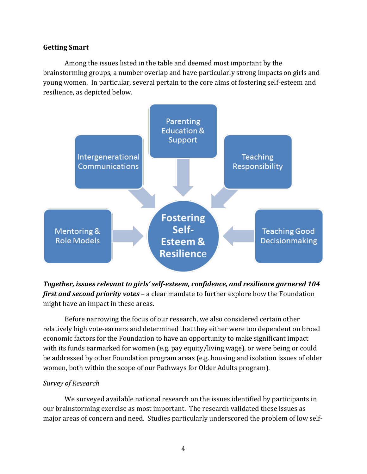#### **Getting Smart**

Among the issues listed in the table and deemed most important by the brainstorming groups, a number overlap and have particularly strong impacts on girls and young women. In particular, several pertain to the core aims of fostering self-esteem and resilience, as depicted below.



*Together, issues relevant to girls' self-esteem, confidence, and resilience garnered 104 first and second priority votes* – a clear mandate to further explore how the Foundation might have an impact in these areas.

Before narrowing the focus of our research, we also considered certain other relatively high vote-earners and determined that they either were too dependent on broad economic factors for the Foundation to have an opportunity to make significant impact with its funds earmarked for women (e.g. pay equity/living wage), or were being or could be addressed by other Foundation program areas (e.g. housing and isolation issues of older women, both within the scope of our Pathways for Older Adults program).

## *Survey of Research*

We surveyed available national research on the issues identified by participants in our brainstorming exercise as most important. The research validated these issues as major areas of concern and need. Studies particularly underscored the problem of low self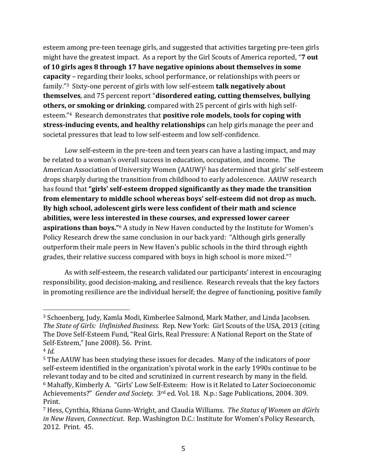esteem among pre-teen teenage girls, and suggested that activities targeting pre-teen girls might have the greatest impact. As a report by the Girl Scouts of America reported, "**7 out of 10 girls ages 8 through 17 have negative opinions about themselves in some capacity** – regarding their looks, school performance, or relationships with peers or family."3 Sixty-one percent of girls with low self-esteem **talk negatively about themselves**, and 75 percent report "**disordered eating, cutting themselves, bullying others, or smoking or drinking**, compared with 25 percent of girls with high selfesteem."4 Research demonstrates that **positive role models, tools for coping with stress-inducing events, and healthy relationships** can help girls manage the peer and societal pressures that lead to low self-esteem and low self-confidence.

Low self-esteem in the pre-teen and teen years can have a lasting impact, and may be related to a woman's overall success in education, occupation, and income. The American Association of University Women (AAUW)<sup>5</sup> has determined that girls' self-esteem drops sharply during the transition from childhood to early adolescence. AAUW research has found that **"girls' self-esteem dropped significantly as they made the transition from elementary to middle school whereas boys' self-esteem did not drop as much. By high school, adolescent girls were less confident of their math and science abilities, were less interested in these courses, and expressed lower career aspirations than boys."**<sup>6</sup> A study in New Haven conducted by the Institute for Women's Policy Research drew the same conclusion in our back yard: "Although girls generally outperform their male peers in New Haven's public schools in the third through eighth grades, their relative success compared with boys in high school is more mixed."<sup>7</sup>

As with self-esteem, the research validated our participants' interest in encouraging responsibility, good decision-making, and resilience. Research reveals that the key factors in promoting resilience are the individual herself; the degree of functioning, positive family

l

<sup>3</sup> Schoenberg, Judy, Kamla Modi, Kimberlee Salmond, Mark Mather, and Linda Jacobsen. *The State of Girls: Unfinished Business.* Rep. New York: Girl Scouts of the USA, 2013 (citing The Dove Self-Esteem Fund, "Real Girls, Real Pressure: A National Report on the State of Self-Esteem," June 2008). 56. Print.

<sup>4</sup> *Id.*

<sup>5</sup> The AAUW has been studying these issues for decades. Many of the indicators of poor self-esteem identified in the organization's pivotal work in the early 1990s continue to be relevant today and to be cited and scrutinized in current research by many in the field. <sup>6</sup> Mahaffy, Kimberly A. "Girls' Low Self-Esteem: How is it Related to Later Socioeconomic Achievements?" *Gender and Society.* 3rd ed. Vol. 18. N.p.: Sage Publications, 2004. 309. Print.

<sup>7</sup> Hess, Cynthia, Rhiana Gunn-Wright, and Claudia Williams. *The Status of Women an dGirls in New Haven, Connecticut*. Rep. Washington D.C.: Institute for Women's Policy Research, 2012. Print. 45.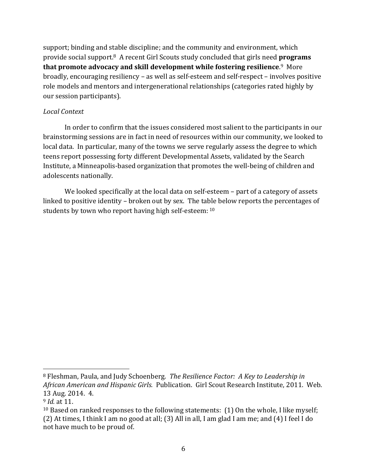support; binding and stable discipline; and the community and environment, which provide social support.8 A recent Girl Scouts study concluded that girls need **programs that promote advocacy and skill development while fostering resilience**. <sup>9</sup> More broadly, encouraging resiliency – as well as self-esteem and self-respect – involves positive role models and mentors and intergenerational relationships (categories rated highly by our session participants).

## *Local Context*

In order to confirm that the issues considered most salient to the participants in our brainstorming sessions are in fact in need of resources within our community, we looked to local data. In particular, many of the towns we serve regularly assess the degree to which teens report possessing forty different Developmental Assets, validated by the Search Institute, a Minneapolis-based organization that promotes the well-being of children and adolescents nationally.

We looked specifically at the local data on self-esteem – part of a category of assets linked to positive identity – broken out by sex. The table below reports the percentages of students by town who report having high self-esteem: 10

 $\overline{a}$ 

<sup>8</sup> Fleshman, Paula, and Judy Schoenberg. *The Resilience Factor: A Key to Leadership in African American and Hispanic Girls.* Publication. Girl Scout Research Institute, 2011. Web. 13 Aug. 2014. 4.

<sup>9</sup> *Id.* at 11.

 $10$  Based on ranked responses to the following statements: (1) On the whole, I like myself; (2) At times, I think I am no good at all; (3) All in all, I am glad I am me; and (4) I feel I do not have much to be proud of.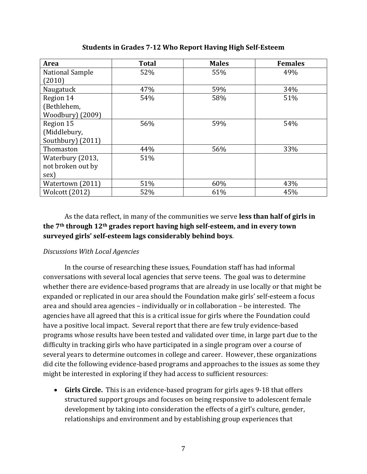| Area                  | <b>Total</b> | <b>Males</b> | <b>Females</b> |
|-----------------------|--------------|--------------|----------------|
| National Sample       | 52%          | 55%          | 49%            |
| (2010)                |              |              |                |
| Naugatuck             | 47%          | 59%          | 34%            |
| Region 14             | 54%          | 58%          | 51%            |
| (Bethlehem,           |              |              |                |
| Woodbury) (2009)      |              |              |                |
| Region 15             | 56%          | 59%          | 54%            |
| (Middlebury,          |              |              |                |
| Southbury) (2011)     |              |              |                |
| Thomaston             | 44%          | 56%          | 33%            |
| Waterbury (2013,      | 51%          |              |                |
| not broken out by     |              |              |                |
| sex)                  |              |              |                |
| Watertown (2011)      | 51%          | 60%          | 43%            |
| <b>Wolcott (2012)</b> | 52%          | 61%          | 45%            |

**Students in Grades 7-12 Who Report Having High Self-Esteem**

## As the data reflect, in many of the communities we serve **less than half of girls in the 7th through 12th grades report having high self-esteem, and in every town surveyed girls' self-esteem lags considerably behind boys**.

#### *Discussions With Local Agencies*

In the course of researching these issues, Foundation staff has had informal conversations with several local agencies that serve teens. The goal was to determine whether there are evidence-based programs that are already in use locally or that might be expanded or replicated in our area should the Foundation make girls' self-esteem a focus area and should area agencies – individually or in collaboration – be interested. The agencies have all agreed that this is a critical issue for girls where the Foundation could have a positive local impact. Several report that there are few truly evidence-based programs whose results have been tested and validated over time, in large part due to the difficulty in tracking girls who have participated in a single program over a course of several years to determine outcomes in college and career. However, these organizations did cite the following evidence-based programs and approaches to the issues as some they might be interested in exploring if they had access to sufficient resources:

 **Girls Circle.** This is an evidence-based program for girls ages 9-18 that offers structured support groups and focuses on being responsive to adolescent female development by taking into consideration the effects of a girl's culture, gender, relationships and environment and by establishing group experiences that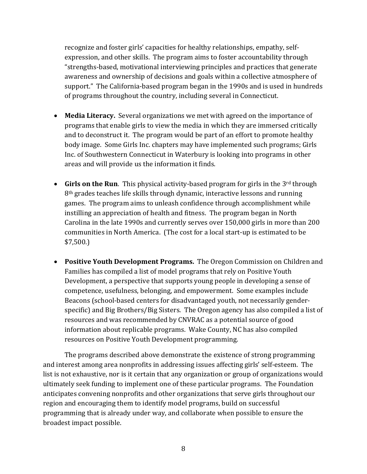recognize and foster girls' capacities for healthy relationships, empathy, selfexpression, and other skills. The program aims to foster accountability through "strengths-based, motivational interviewing principles and practices that generate awareness and ownership of decisions and goals within a collective atmosphere of support." The California-based program began in the 1990s and is used in hundreds of programs throughout the country, including several in Connecticut.

- **Media Literacy.** Several organizations we met with agreed on the importance of programs that enable girls to view the media in which they are immersed critically and to deconstruct it. The program would be part of an effort to promote healthy body image. Some Girls Inc. chapters may have implemented such programs; Girls Inc. of Southwestern Connecticut in Waterbury is looking into programs in other areas and will provide us the information it finds.
- **Girls on the Run**. This physical activity-based program for girls in the 3<sup>rd</sup> through 8<sup>th</sup> grades teaches life skills through dynamic, interactive lessons and running games. The program aims to unleash confidence through accomplishment while instilling an appreciation of health and fitness. The program began in North Carolina in the late 1990s and currently serves over 150,000 girls in more than 200 communities in North America. (The cost for a local start-up is estimated to be \$7,500.)
- **Positive Youth Development Programs.** The Oregon Commission on Children and Families has compiled a list of model programs that rely on Positive Youth Development, a perspective that supports young people in developing a sense of competence, usefulness, belonging, and empowerment. Some examples include Beacons (school-based centers for disadvantaged youth, not necessarily genderspecific) and Big Brothers/Big Sisters. The Oregon agency has also compiled a list of resources and was recommended by CNVRAC as a potential source of good information about replicable programs. Wake County, NC has also compiled resources on Positive Youth Development programming.

The programs described above demonstrate the existence of strong programming and interest among area nonprofits in addressing issues affecting girls' self-esteem. The list is not exhaustive, nor is it certain that any organization or group of organizations would ultimately seek funding to implement one of these particular programs. The Foundation anticipates convening nonprofits and other organizations that serve girls throughout our region and encouraging them to identify model programs, build on successful programming that is already under way, and collaborate when possible to ensure the broadest impact possible.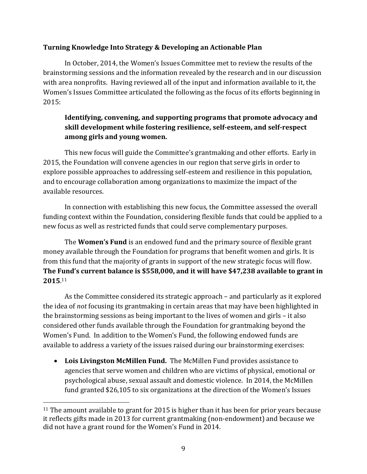## **Turning Knowledge Into Strategy & Developing an Actionable Plan**

In October, 2014, the Women's Issues Committee met to review the results of the brainstorming sessions and the information revealed by the research and in our discussion with area nonprofits. Having reviewed all of the input and information available to it, the Women's Issues Committee articulated the following as the focus of its efforts beginning in 2015:

## **Identifying, convening, and supporting programs that promote advocacy and skill development while fostering resilience, self-esteem, and self-respect among girls and young women.**

This new focus will guide the Committee's grantmaking and other efforts. Early in 2015, the Foundation will convene agencies in our region that serve girls in order to explore possible approaches to addressing self-esteem and resilience in this population, and to encourage collaboration among organizations to maximize the impact of the available resources.

In connection with establishing this new focus, the Committee assessed the overall funding context within the Foundation, considering flexible funds that could be applied to a new focus as well as restricted funds that could serve complementary purposes.

The **Women's Fund** is an endowed fund and the primary source of flexible grant money available through the Foundation for programs that benefit women and girls. It is from this fund that the majority of grants in support of the new strategic focus will flow. **The Fund's current balance is \$558,000, and it will have \$47,238 available to grant in 2015**. 11

As the Committee considered its strategic approach – and particularly as it explored the idea of *not* focusing its grantmaking in certain areas that may have been highlighted in the brainstorming sessions as being important to the lives of women and girls – it also considered other funds available through the Foundation for grantmaking beyond the Women's Fund. In addition to the Women's Fund, the following endowed funds are available to address a variety of the issues raised during our brainstorming exercises:

 **Lois Livingston McMillen Fund.** The McMillen Fund provides assistance to agencies that serve women and children who are victims of physical, emotional or psychological abuse, sexual assault and domestic violence. In 2014, the McMillen fund granted \$26,105 to six organizations at the direction of the Women's Issues

 $\overline{a}$ 

 $11$  The amount available to grant for 2015 is higher than it has been for prior years because it reflects gifts made in 2013 for current grantmaking (non-endowment) and because we did not have a grant round for the Women's Fund in 2014.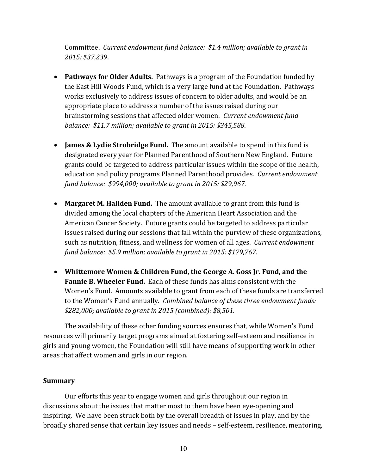Committee. *Current endowment fund balance: \$1.4 million; available to grant in 2015: \$37,239*.

- **Pathways for Older Adults.** Pathways is a program of the Foundation funded by the East Hill Woods Fund, which is a very large fund at the Foundation. Pathways works exclusively to address issues of concern to older adults, and would be an appropriate place to address a number of the issues raised during our brainstorming sessions that affected older women. *Current endowment fund balance: \$11.7 million; available to grant in 2015: \$345,588*.
- **James & Lydie Strobridge Fund.** The amount available to spend in this fund is designated every year for Planned Parenthood of Southern New England. Future grants could be targeted to address particular issues within the scope of the health, education and policy programs Planned Parenthood provides. *Current endowment fund balance: \$994,000; available to grant in 2015: \$29,967.*
- **Margaret M. Hallden Fund.** The amount available to grant from this fund is divided among the local chapters of the American Heart Association and the American Cancer Society. Future grants could be targeted to address particular issues raised during our sessions that fall within the purview of these organizations, such as nutrition, fitness, and wellness for women of all ages. *Current endowment fund balance: \$5.9 million; available to grant in 2015: \$179,767.*
- **Whittemore Women & Children Fund, the George A. Goss Jr. Fund, and the Fannie B. Wheeler Fund.** Each of these funds has aims consistent with the Women's Fund. Amounts available to grant from each of these funds are transferred to the Women's Fund annually. *Combined balance of these three endowment funds: \$282,000; available to grant in 2015 (combined): \$8,501.*

The availability of these other funding sources ensures that, while Women's Fund resources will primarily target programs aimed at fostering self-esteem and resilience in girls and young women, the Foundation will still have means of supporting work in other areas that affect women and girls in our region.

#### **Summary**

Our efforts this year to engage women and girls throughout our region in discussions about the issues that matter most to them have been eye-opening and inspiring. We have been struck both by the overall breadth of issues in play, and by the broadly shared sense that certain key issues and needs – self-esteem, resilience, mentoring,